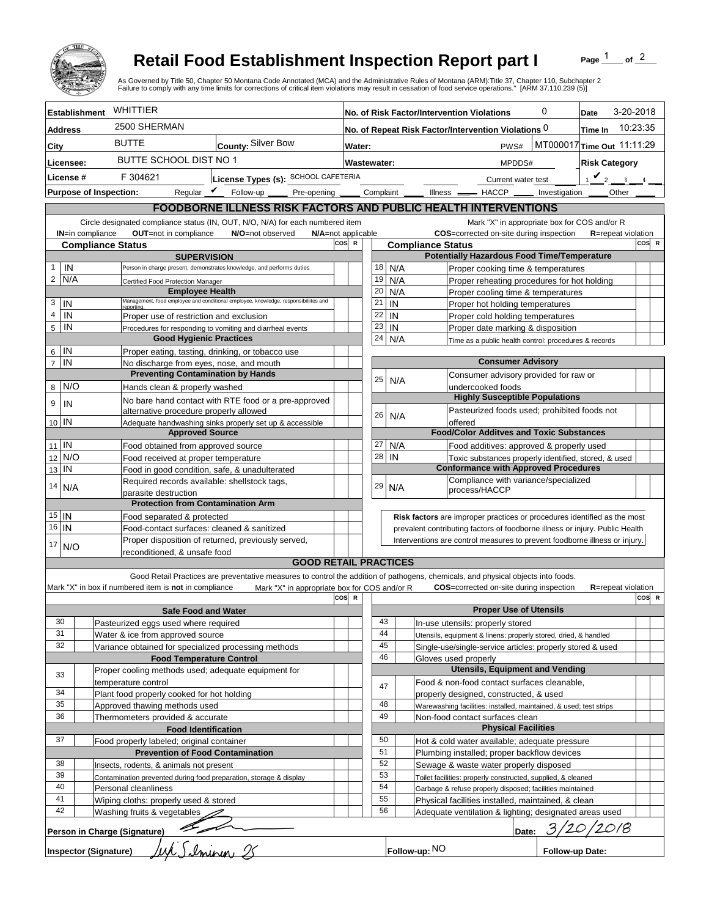

## **Retail Food Establishment Inspection Report part I**

Page  $\frac{1}{1}$  of  $\frac{2}{1}$ 

|                                                                                                                               |                                                                                                            | <b>Retail Food Establishment Inspection Report part I</b><br>As Governed by Title 50, Chapter 50 Montana Code Annotated (MCA) and the Administrative Rules of Montana (ARM):Title 37, Chapter 110, Subchapter 2<br>Failure to comply with any time limits for corrections of critical item violations may result in cessation of food service operations." [ARM 37.110.239 (5)] |     |                                                     |                                                                                                              |                                                                                                                            |                                             |                                                                     |                               | Page                                                                         | of $2$    |       |  |
|-------------------------------------------------------------------------------------------------------------------------------|------------------------------------------------------------------------------------------------------------|---------------------------------------------------------------------------------------------------------------------------------------------------------------------------------------------------------------------------------------------------------------------------------------------------------------------------------------------------------------------------------|-----|-----------------------------------------------------|--------------------------------------------------------------------------------------------------------------|----------------------------------------------------------------------------------------------------------------------------|---------------------------------------------|---------------------------------------------------------------------|-------------------------------|------------------------------------------------------------------------------|-----------|-------|--|
| <b>Establishment</b>                                                                                                          | WHITTIER                                                                                                   |                                                                                                                                                                                                                                                                                                                                                                                 |     | 0<br>No. of Risk Factor/Intervention Violations     |                                                                                                              |                                                                                                                            |                                             |                                                                     |                               | Date                                                                         | 3-20-2018 |       |  |
| <b>Address</b>                                                                                                                | 2500 SHERMAN                                                                                               |                                                                                                                                                                                                                                                                                                                                                                                 |     | No. of Repeat Risk Factor/Intervention Violations 0 |                                                                                                              |                                                                                                                            |                                             |                                                                     |                               | Time In                                                                      | 10:23:35  |       |  |
| City                                                                                                                          | <b>BUTTE</b>                                                                                               | County: Silver Bow                                                                                                                                                                                                                                                                                                                                                              |     |                                                     | MT000017 Time Out 11:11:29<br>PWS#<br>Water:                                                                 |                                                                                                                            |                                             |                                                                     |                               |                                                                              |           |       |  |
|                                                                                                                               |                                                                                                            | BUTTE SCHOOL DIST NO 1                                                                                                                                                                                                                                                                                                                                                          |     |                                                     |                                                                                                              |                                                                                                                            |                                             |                                                                     |                               |                                                                              |           |       |  |
| Licensee:                                                                                                                     |                                                                                                            |                                                                                                                                                                                                                                                                                                                                                                                 |     | Wastewater:<br>MPDDS#                               |                                                                                                              |                                                                                                                            |                                             |                                                                     | <b>Risk Category</b>          |                                                                              |           |       |  |
| License #<br>F 304621<br>License Types (s): SCHOOL CAFETERIA                                                                  |                                                                                                            |                                                                                                                                                                                                                                                                                                                                                                                 |     |                                                     | Current water test                                                                                           |                                                                                                                            |                                             |                                                                     |                               | $\mathbf{v}_2$<br>$\mathbf{R}$                                               |           |       |  |
| <b>Purpose of Inspection:</b>                                                                                                 |                                                                                                            | Reqular $\triangledown$ Follow-up<br>Pre-opening _____                                                                                                                                                                                                                                                                                                                          |     |                                                     | Complaint _                                                                                                  |                                                                                                                            |                                             | Illness <u>- HACCP</u>                                              |                               | Other<br>Investigation                                                       |           |       |  |
|                                                                                                                               |                                                                                                            | FOODBORNE ILLNESS RISK FACTORS AND PUBLIC HEALTH INTERVENTIONS                                                                                                                                                                                                                                                                                                                  |     |                                                     |                                                                                                              |                                                                                                                            |                                             |                                                                     |                               |                                                                              |           |       |  |
|                                                                                                                               |                                                                                                            | Circle designated compliance status (IN, OUT, N/O, N/A) for each numbered item                                                                                                                                                                                                                                                                                                  |     |                                                     |                                                                                                              |                                                                                                                            |                                             |                                                                     |                               | Mark "X" in appropriate box for COS and/or R                                 |           |       |  |
| OUT=not in compliance<br><b>IN=in compliance</b><br>N/O=not observed<br>N/A=not applicable<br>cos<br><b>Compliance Status</b> |                                                                                                            |                                                                                                                                                                                                                                                                                                                                                                                 |     |                                                     |                                                                                                              | COS=corrected on-site during inspection<br><b>R</b> =repeat violation<br>COS R<br>$\mathbb{R}$<br><b>Compliance Status</b> |                                             |                                                                     |                               |                                                                              |           |       |  |
| <b>SUPERVISION</b>                                                                                                            |                                                                                                            |                                                                                                                                                                                                                                                                                                                                                                                 |     | <b>Potentially Hazardous Food Time/Temperature</b>  |                                                                                                              |                                                                                                                            |                                             |                                                                     |                               |                                                                              |           |       |  |
| IN<br>$\mathbf{1}$                                                                                                            |                                                                                                            | Person in charge present, demonstrates knowledge, and performs duties                                                                                                                                                                                                                                                                                                           |     |                                                     | 18                                                                                                           | N/A                                                                                                                        |                                             | Proper cooking time & temperatures                                  |                               |                                                                              |           |       |  |
| $\overline{2}$<br>N/A                                                                                                         | Certified Food Protection Manager                                                                          |                                                                                                                                                                                                                                                                                                                                                                                 |     |                                                     | 19                                                                                                           | N/A                                                                                                                        |                                             | Proper reheating procedures for hot holding                         |                               |                                                                              |           |       |  |
| 3<br>IN                                                                                                                       | <b>Employee Health</b>                                                                                     | Management, food employee and conditional employee, knowledge, responsibiliites and                                                                                                                                                                                                                                                                                             |     |                                                     | 20<br>21                                                                                                     | N/A<br>IN                                                                                                                  |                                             | Proper cooling time & temperatures                                  |                               |                                                                              |           |       |  |
| $\overline{4}$<br>IN                                                                                                          | reportina.<br>Proper use of restriction and exclusion                                                      |                                                                                                                                                                                                                                                                                                                                                                                 |     |                                                     | 22                                                                                                           | IN                                                                                                                         |                                             | Proper hot holding temperatures<br>Proper cold holding temperatures |                               |                                                                              |           |       |  |
| 5<br>IN                                                                                                                       |                                                                                                            | Procedures for responding to vomiting and diarrheal events                                                                                                                                                                                                                                                                                                                      |     |                                                     | 23                                                                                                           | IN                                                                                                                         |                                             | Proper date marking & disposition                                   |                               |                                                                              |           |       |  |
|                                                                                                                               | <b>Good Hygienic Practices</b>                                                                             |                                                                                                                                                                                                                                                                                                                                                                                 |     |                                                     | 24                                                                                                           | N/A                                                                                                                        |                                             | Time as a public health control: procedures & records               |                               |                                                                              |           |       |  |
| IN<br>6                                                                                                                       | Proper eating, tasting, drinking, or tobacco use                                                           |                                                                                                                                                                                                                                                                                                                                                                                 |     |                                                     |                                                                                                              |                                                                                                                            |                                             |                                                                     |                               |                                                                              |           |       |  |
| $\overline{7}$<br>IN                                                                                                          | No discharge from eyes, nose, and mouth<br><b>Preventing Contamination by Hands</b>                        |                                                                                                                                                                                                                                                                                                                                                                                 |     |                                                     | <b>Consumer Advisory</b><br>Consumer advisory provided for raw or                                            |                                                                                                                            |                                             |                                                                     |                               |                                                                              |           |       |  |
| N/O<br>8                                                                                                                      | Hands clean & properly washed                                                                              |                                                                                                                                                                                                                                                                                                                                                                                 |     |                                                     | 25                                                                                                           | N/A                                                                                                                        |                                             | undercooked foods                                                   |                               |                                                                              |           |       |  |
| 9                                                                                                                             |                                                                                                            | No bare hand contact with RTE food or a pre-approved                                                                                                                                                                                                                                                                                                                            |     |                                                     |                                                                                                              |                                                                                                                            |                                             | <b>Highly Susceptible Populations</b>                               |                               |                                                                              |           |       |  |
| IN                                                                                                                            | alternative procedure properly allowed                                                                     |                                                                                                                                                                                                                                                                                                                                                                                 |     |                                                     | 26                                                                                                           | N/A                                                                                                                        |                                             | Pasteurized foods used; prohibited foods not                        |                               |                                                                              |           |       |  |
| 10 IN                                                                                                                         |                                                                                                            | Adequate handwashing sinks properly set up & accessible                                                                                                                                                                                                                                                                                                                         |     |                                                     |                                                                                                              |                                                                                                                            |                                             | offered                                                             |                               |                                                                              |           |       |  |
|                                                                                                                               | <b>Approved Source</b>                                                                                     |                                                                                                                                                                                                                                                                                                                                                                                 |     |                                                     |                                                                                                              |                                                                                                                            |                                             | <b>Food/Color Additves and Toxic Substances</b>                     |                               |                                                                              |           |       |  |
| $11$ IN<br>N/O<br>12                                                                                                          | Food obtained from approved source                                                                         |                                                                                                                                                                                                                                                                                                                                                                                 |     |                                                     | 27<br>28                                                                                                     | N/A<br>IN                                                                                                                  |                                             | Food additives: approved & properly used                            |                               |                                                                              |           |       |  |
| IN<br>13                                                                                                                      | Food received at proper temperature<br>Food in good condition, safe, & unadulterated                       |                                                                                                                                                                                                                                                                                                                                                                                 |     |                                                     |                                                                                                              |                                                                                                                            |                                             | <b>Conformance with Approved Procedures</b>                         |                               | Toxic substances properly identified, stored, & used                         |           |       |  |
|                                                                                                                               | Required records available: shellstock tags,                                                               |                                                                                                                                                                                                                                                                                                                                                                                 |     |                                                     | 29                                                                                                           |                                                                                                                            |                                             | Compliance with variance/specialized                                |                               |                                                                              |           |       |  |
| 14<br>N/A                                                                                                                     | parasite destruction                                                                                       |                                                                                                                                                                                                                                                                                                                                                                                 |     |                                                     |                                                                                                              | N/A                                                                                                                        |                                             | process/HACCP                                                       |                               |                                                                              |           |       |  |
|                                                                                                                               | <b>Protection from Contamination Arm</b>                                                                   |                                                                                                                                                                                                                                                                                                                                                                                 |     |                                                     |                                                                                                              |                                                                                                                            |                                             |                                                                     |                               |                                                                              |           |       |  |
| $15$ IN<br>$16$   IN                                                                                                          | Food separated & protected                                                                                 |                                                                                                                                                                                                                                                                                                                                                                                 |     |                                                     |                                                                                                              |                                                                                                                            |                                             |                                                                     |                               | Risk factors are improper practices or procedures identified as the most     |           |       |  |
|                                                                                                                               | Food-contact surfaces: cleaned & sanitized<br>Proper disposition of returned, previously served,           |                                                                                                                                                                                                                                                                                                                                                                                 |     |                                                     |                                                                                                              |                                                                                                                            |                                             |                                                                     |                               | prevalent contributing factors of foodborne illness or injury. Public Health |           |       |  |
| 17<br>N/O                                                                                                                     | Interventions are control measures to prevent foodborne illness or injury.<br>reconditioned. & unsafe food |                                                                                                                                                                                                                                                                                                                                                                                 |     |                                                     |                                                                                                              |                                                                                                                            |                                             |                                                                     |                               |                                                                              |           |       |  |
|                                                                                                                               |                                                                                                            | <b>GOOD RETAIL PRACTICES</b>                                                                                                                                                                                                                                                                                                                                                    |     |                                                     |                                                                                                              |                                                                                                                            |                                             |                                                                     |                               |                                                                              |           |       |  |
|                                                                                                                               |                                                                                                            | Good Retail Practices are preventative measures to control the addition of pathogens, chemicals, and physical objects into foods.                                                                                                                                                                                                                                               |     |                                                     |                                                                                                              |                                                                                                                            |                                             |                                                                     |                               |                                                                              |           |       |  |
|                                                                                                                               | Mark "X" in box if numbered item is not in compliance                                                      | Mark "X" in appropriate box for COS and/or R                                                                                                                                                                                                                                                                                                                                    | cos | $\mathbf R$                                         |                                                                                                              |                                                                                                                            |                                             | <b>COS</b> =corrected on-site during inspection                     |                               | <b>R</b> =repeat violation                                                   |           | COS R |  |
|                                                                                                                               | <b>Safe Food and Water</b>                                                                                 |                                                                                                                                                                                                                                                                                                                                                                                 |     |                                                     |                                                                                                              |                                                                                                                            |                                             |                                                                     | <b>Proper Use of Utensils</b> |                                                                              |           |       |  |
| 30                                                                                                                            | Pasteurized eggs used where required                                                                       |                                                                                                                                                                                                                                                                                                                                                                                 |     |                                                     | 43                                                                                                           |                                                                                                                            |                                             | In-use utensils: properly stored                                    |                               |                                                                              |           |       |  |
| 31                                                                                                                            | Water & ice from approved source                                                                           |                                                                                                                                                                                                                                                                                                                                                                                 |     |                                                     | 44                                                                                                           |                                                                                                                            |                                             | Utensils, equipment & linens: properly stored, dried, & handled     |                               |                                                                              |           |       |  |
| 32                                                                                                                            | Variance obtained for specialized processing methods                                                       |                                                                                                                                                                                                                                                                                                                                                                                 |     |                                                     | 45                                                                                                           |                                                                                                                            |                                             | Single-use/single-service articles: properly stored & used          |                               |                                                                              |           |       |  |
|                                                                                                                               | <b>Food Temperature Control</b>                                                                            |                                                                                                                                                                                                                                                                                                                                                                                 |     |                                                     | 46                                                                                                           |                                                                                                                            |                                             | Gloves used properly<br><b>Utensils, Equipment and Vending</b>      |                               |                                                                              |           |       |  |
| 33                                                                                                                            | Proper cooling methods used; adequate equipment for<br>temperature control                                 |                                                                                                                                                                                                                                                                                                                                                                                 |     |                                                     |                                                                                                              |                                                                                                                            |                                             | Food & non-food contact surfaces cleanable,                         |                               |                                                                              |           |       |  |
| 34                                                                                                                            | Plant food properly cooked for hot holding                                                                 |                                                                                                                                                                                                                                                                                                                                                                                 |     |                                                     | 47                                                                                                           |                                                                                                                            |                                             | properly designed, constructed, & used                              |                               |                                                                              |           |       |  |
| 35                                                                                                                            | Approved thawing methods used                                                                              |                                                                                                                                                                                                                                                                                                                                                                                 |     |                                                     | 48                                                                                                           |                                                                                                                            |                                             | Warewashing facilities: installed, maintained, & used; test strips  |                               |                                                                              |           |       |  |
| 36                                                                                                                            | Thermometers provided & accurate                                                                           |                                                                                                                                                                                                                                                                                                                                                                                 |     |                                                     | 49                                                                                                           |                                                                                                                            |                                             | Non-food contact surfaces clean                                     |                               |                                                                              |           |       |  |
| <b>Food Identification</b>                                                                                                    |                                                                                                            |                                                                                                                                                                                                                                                                                                                                                                                 |     |                                                     | 50                                                                                                           |                                                                                                                            |                                             |                                                                     | <b>Physical Facilities</b>    |                                                                              |           |       |  |
| 37<br>Food properly labeled; original container                                                                               |                                                                                                            |                                                                                                                                                                                                                                                                                                                                                                                 |     |                                                     |                                                                                                              |                                                                                                                            |                                             | Hot & cold water available; adequate pressure                       |                               |                                                                              |           |       |  |
| <b>Prevention of Food Contamination</b><br>38<br>Insects, rodents, & animals not present                                      |                                                                                                            |                                                                                                                                                                                                                                                                                                                                                                                 |     | 51<br>52                                            |                                                                                                              |                                                                                                                            | Plumbing installed; proper backflow devices |                                                                     |                               |                                                                              |           |       |  |
| 39                                                                                                                            | Contamination prevented during food preparation, storage & display                                         |                                                                                                                                                                                                                                                                                                                                                                                 |     |                                                     | Sewage & waste water properly disposed<br>53<br>Toilet facilities: properly constructed, supplied, & cleaned |                                                                                                                            |                                             |                                                                     |                               |                                                                              |           |       |  |
| 40                                                                                                                            | Personal cleanliness                                                                                       |                                                                                                                                                                                                                                                                                                                                                                                 |     |                                                     | 54                                                                                                           |                                                                                                                            |                                             | Garbage & refuse properly disposed; facilities maintained           |                               |                                                                              |           |       |  |
| 41                                                                                                                            | Wiping cloths: properly used & stored                                                                      |                                                                                                                                                                                                                                                                                                                                                                                 |     |                                                     | 55                                                                                                           |                                                                                                                            |                                             | Physical facilities installed, maintained, & clean                  |                               |                                                                              |           |       |  |
| 42                                                                                                                            | Washing fruits & vegetables                                                                                |                                                                                                                                                                                                                                                                                                                                                                                 |     |                                                     | 56                                                                                                           |                                                                                                                            |                                             | Adequate ventilation & lighting; designated areas used              |                               |                                                                              |           |       |  |
| K Silminum 25<br>Person in Charge (Signature)<br>Date:                                                                        |                                                                                                            |                                                                                                                                                                                                                                                                                                                                                                                 |     |                                                     |                                                                                                              |                                                                                                                            |                                             |                                                                     |                               |                                                                              |           |       |  |
|                                                                                                                               |                                                                                                            |                                                                                                                                                                                                                                                                                                                                                                                 |     |                                                     |                                                                                                              |                                                                                                                            |                                             |                                                                     |                               |                                                                              |           |       |  |
| <b>Inspector (Signature)</b>                                                                                                  |                                                                                                            |                                                                                                                                                                                                                                                                                                                                                                                 |     |                                                     |                                                                                                              |                                                                                                                            | Follow-up: NO                               |                                                                     |                               | Follow-up Date:                                                              |           |       |  |